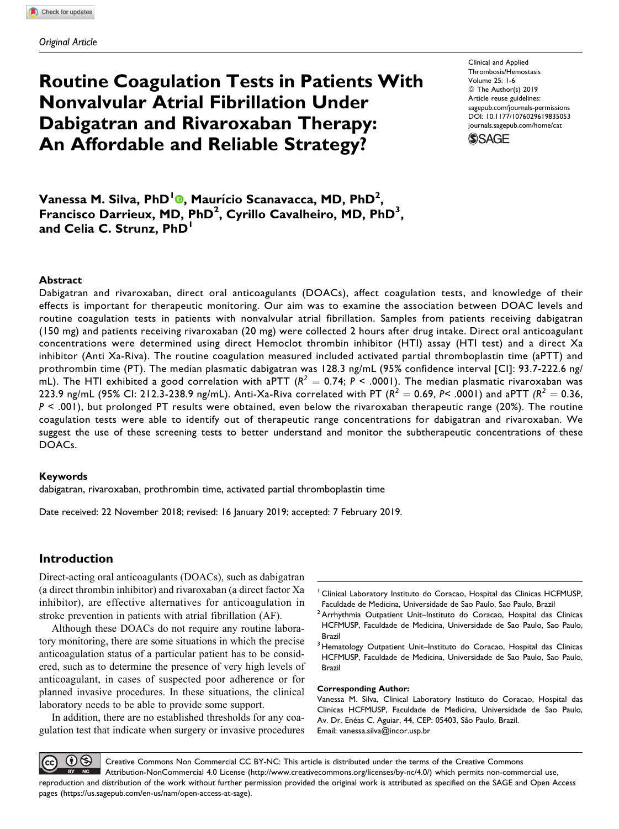# Routine Coagulation Tests in Patients With Nonvalvular Atrial Fibrillation Under Dabigatran and Rivaroxaban Therapy: An Affordable and Reliable Strategy?

Clinical and Applied Thrombosis/Hemostasis Volume 25: 1-6 © The Author(s) 2019 Article reuse guidelines: [sagepub.com/journals-permissions](https://sagepub.com/journals-permissions) [DOI: 10.1177/1076029619835053](https://doi.org/10.1177/1076029619835053) [journals.sagepub.com/home/cat](http://journals.sagepub.com/home/cat)



Vanessa M. Silva[,](https://orcid.org/0000-0001-8245-9971) PhD<sup>1</sup>®, Maurício Scanavacca, MD, PhD<sup>2</sup>, Francisco Darrieux, MD, PhD<sup>2</sup>, Cyrillo Cavalheiro, MD, PhD<sup>3</sup>, and Celia C. Strunz, PhD<sup>1</sup>

### Abstract

Dabigatran and rivaroxaban, direct oral anticoagulants (DOACs), affect coagulation tests, and knowledge of their effects is important for therapeutic monitoring. Our aim was to examine the association between DOAC levels and routine coagulation tests in patients with nonvalvular atrial fibrillation. Samples from patients receiving dabigatran (150 mg) and patients receiving rivaroxaban (20 mg) were collected 2 hours after drug intake. Direct oral anticoagulant concentrations were determined using direct Hemoclot thrombin inhibitor (HTI) assay (HTI test) and a direct Xa inhibitor (Anti Xa-Riva). The routine coagulation measured included activated partial thromboplastin time (aPTT) and prothrombin time (PT). The median plasmatic dabigatran was 128.3 ng/mL (95% confidence interval [CI]: 93.7-222.6 ng/ mL). The HTI exhibited a good correlation with aPTT ( $R^2 = 0.74$ ; P < .0001). The median plasmatic rivaroxaban was 223.9 ng/mL (95% CI: 212.3-238.9 ng/mL). Anti-Xa-Riva correlated with PT ( $R^2 = 0.69$ , P< .0001) and aPTT ( $R^2 = 0.36$ ,  $P < .001$ ), but prolonged PT results were obtained, even below the rivaroxaban therapeutic range (20%). The routine coagulation tests were able to identify out of therapeutic range concentrations for dabigatran and rivaroxaban. We suggest the use of these screening tests to better understand and monitor the subtherapeutic concentrations of these DOACs.

#### Keywords

dabigatran, rivaroxaban, prothrombin time, activated partial thromboplastin time

Date received: 22 November 2018; revised: 16 January 2019; accepted: 7 February 2019.

## Introduction

Direct-acting oral anticoagulants (DOACs), such as dabigatran (a direct thrombin inhibitor) and rivaroxaban (a direct factor Xa inhibitor), are effective alternatives for anticoagulation in stroke prevention in patients with atrial fibrillation (AF).

Although these DOACs do not require any routine laboratory monitoring, there are some situations in which the precise anticoagulation status of a particular patient has to be considered, such as to determine the presence of very high levels of anticoagulant, in cases of suspected poor adherence or for planned invasive procedures. In these situations, the clinical laboratory needs to be able to provide some support.

In addition, there are no established thresholds for any coagulation test that indicate when surgery or invasive procedures  $3$  Hematology Outpatient Unit-Instituto do Coracao, Hospital das Clinicas HCFMUSP, Faculdade de Medicina, Universidade de Sao Paulo, Sao Paulo, Brazil

#### Corresponding Author:

Vanessa M. Silva, Clinical Laboratory Instituto do Coracao, Hospital das Clinicas HCFMUSP, Faculdade de Medicina, Universidade de Sao Paulo, Av. Dr. Enéas C. Aguiar, 44, CEP: 05403, São Paulo, Brazil. Email: [vanessa.silva@incor.usp.br](mailto:vanessa.silva@incor.usp.br)

のめ Creative Commons Non Commercial CC BY-NC: This article is distributed under the terms of the Creative Commons Attribution-NonCommercial 4.0 License ([http://www.creativecommons.org/licenses/by-nc/4.0/\)](http://www.creativecommons.org/licenses/by-nc/4.0/) which permits non-commercial use, reproduction and distribution of the work without further permission provided the original work is attributed as specified on the SAGE and Open Access pages (<https://us.sagepub.com/en-us/nam/open-access-at-sage>).

<sup>&</sup>lt;sup>1</sup> Clinical Laboratory Instituto do Coracao, Hospital das Clinicas HCFMUSP, Faculdade de Medicina, Universidade de Sao Paulo, Sao Paulo, Brazil

 $2$  Arrhythmia Outpatient Unit-Instituto do Coracao, Hospital das Clinicas HCFMUSP, Faculdade de Medicina, Universidade de Sao Paulo, Sao Paulo, Brazil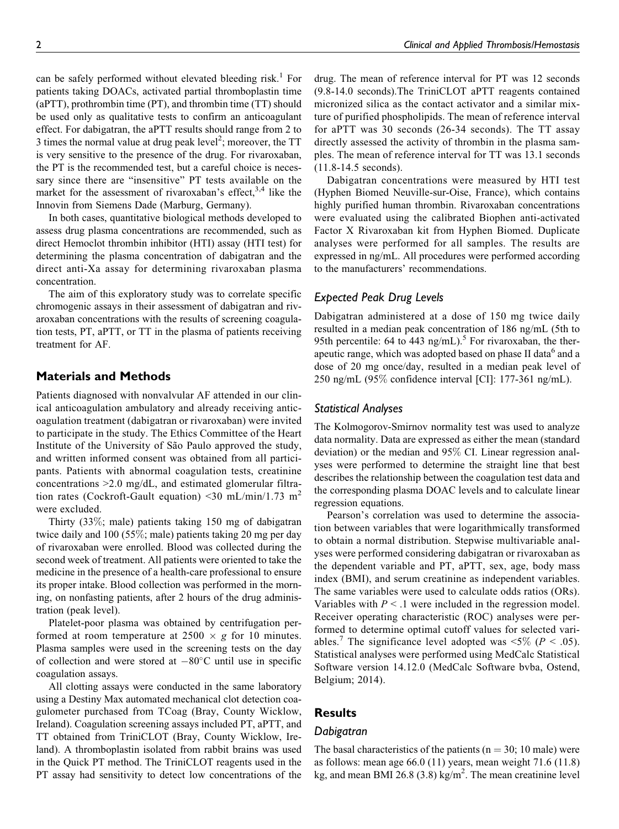can be safely performed without elevated bleeding risk.<sup>1</sup> For patients taking DOACs, activated partial thromboplastin time (aPTT), prothrombin time (PT), and thrombin time (TT) should be used only as qualitative tests to confirm an anticoagulant effect. For dabigatran, the aPTT results should range from 2 to 3 times the normal value at drug peak level<sup>2</sup>; moreover, the  $TT$ is very sensitive to the presence of the drug. For rivaroxaban, the PT is the recommended test, but a careful choice is necessary since there are "insensitive" PT tests available on the market for the assessment of rivaroxaban's effect,  $3,4$  like the Innovin from Siemens Dade (Marburg, Germany).

In both cases, quantitative biological methods developed to assess drug plasma concentrations are recommended, such as direct Hemoclot thrombin inhibitor (HTI) assay (HTI test) for determining the plasma concentration of dabigatran and the direct anti-Xa assay for determining rivaroxaban plasma concentration.

The aim of this exploratory study was to correlate specific chromogenic assays in their assessment of dabigatran and rivaroxaban concentrations with the results of screening coagulation tests, PT, aPTT, or TT in the plasma of patients receiving treatment for AF.

## Materials and Methods

Patients diagnosed with nonvalvular AF attended in our clinical anticoagulation ambulatory and already receiving anticoagulation treatment (dabigatran or rivaroxaban) were invited to participate in the study. The Ethics Committee of the Heart Institute of the University of São Paulo approved the study, and written informed consent was obtained from all participants. Patients with abnormal coagulation tests, creatinine concentrations >2.0 mg/dL, and estimated glomerular filtration rates (Cockroft-Gault equation) <30 mL/min/1.73 m<sup>2</sup> were excluded.

Thirty (33%; male) patients taking 150 mg of dabigatran twice daily and 100 (55%; male) patients taking 20 mg per day of rivaroxaban were enrolled. Blood was collected during the second week of treatment. All patients were oriented to take the medicine in the presence of a health-care professional to ensure its proper intake. Blood collection was performed in the morning, on nonfasting patients, after 2 hours of the drug administration (peak level).

Platelet-poor plasma was obtained by centrifugation performed at room temperature at  $2500 \times g$  for 10 minutes. Plasma samples were used in the screening tests on the day of collection and were stored at  $-80^{\circ}$ C until use in specific coagulation assays.

All clotting assays were conducted in the same laboratory using a Destiny Max automated mechanical clot detection coagulometer purchased from TCoag (Bray, County Wicklow, Ireland). Coagulation screening assays included PT, aPTT, and TT obtained from TriniCLOT (Bray, County Wicklow, Ireland). A thromboplastin isolated from rabbit brains was used in the Quick PT method. The TriniCLOT reagents used in the PT assay had sensitivity to detect low concentrations of the

drug. The mean of reference interval for PT was 12 seconds (9.8-14.0 seconds).The TriniCLOT aPTT reagents contained micronized silica as the contact activator and a similar mixture of purified phospholipids. The mean of reference interval for aPTT was 30 seconds (26-34 seconds). The TT assay directly assessed the activity of thrombin in the plasma samples. The mean of reference interval for TT was 13.1 seconds (11.8-14.5 seconds).

Dabigatran concentrations were measured by HTI test (Hyphen Biomed Neuville-sur-Oise, France), which contains highly purified human thrombin. Rivaroxaban concentrations were evaluated using the calibrated Biophen anti-activated Factor X Rivaroxaban kit from Hyphen Biomed. Duplicate analyses were performed for all samples. The results are expressed in ng/mL. All procedures were performed according to the manufacturers' recommendations.

# Expected Peak Drug Levels

Dabigatran administered at a dose of 150 mg twice daily resulted in a median peak concentration of 186 ng/mL (5th to 95th percentile: 64 to 443 ng/mL).<sup>5</sup> For rivaroxaban, the therapeutic range, which was adopted based on phase II data<sup>6</sup> and a dose of 20 mg once/day, resulted in a median peak level of 250 ng/mL (95% confidence interval [CI]: 177-361 ng/mL).

## Statistical Analyses

The Kolmogorov-Smirnov normality test was used to analyze data normality. Data are expressed as either the mean (standard deviation) or the median and 95% CI. Linear regression analyses were performed to determine the straight line that best describes the relationship between the coagulation test data and the corresponding plasma DOAC levels and to calculate linear regression equations.

Pearson's correlation was used to determine the association between variables that were logarithmically transformed to obtain a normal distribution. Stepwise multivariable analyses were performed considering dabigatran or rivaroxaban as the dependent variable and PT, aPTT, sex, age, body mass index (BMI), and serum creatinine as independent variables. The same variables were used to calculate odds ratios (ORs). Variables with  $P < 0.1$  were included in the regression model. Receiver operating characteristic (ROC) analyses were performed to determine optimal cutoff values for selected variables.<sup>7</sup> The significance level adopted was <5% ( $P < .05$ ). Statistical analyses were performed using MedCalc Statistical Software version 14.12.0 (MedCalc Software bvba, Ostend, Belgium; 2014).

# **Results**

## Dabigatran

The basal characteristics of the patients ( $n = 30$ ; 10 male) were as follows: mean age 66.0 (11) years, mean weight 71.6 (11.8) kg, and mean BMI 26.8 (3.8) kg/m<sup>2</sup>. The mean creatinine level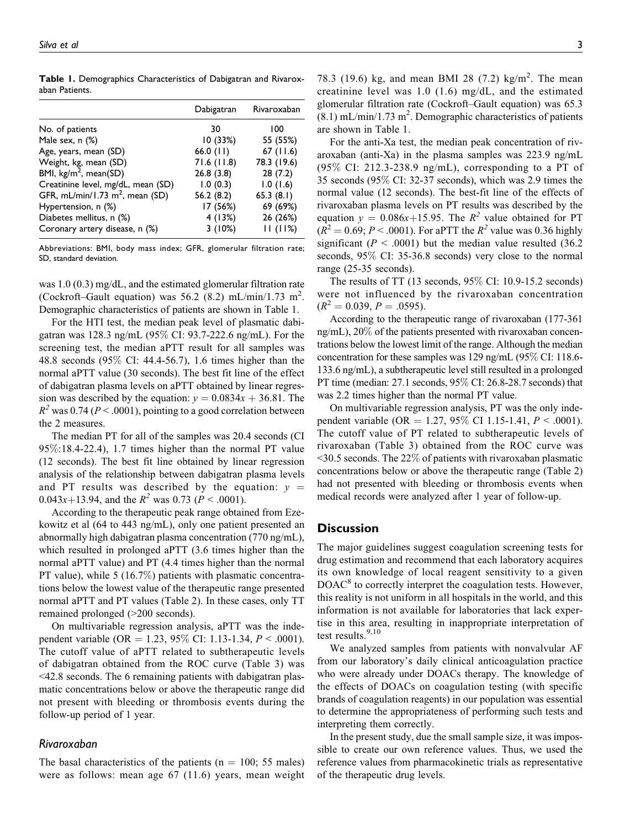|                                    | Dabigatran  | Rivaroxaban |
|------------------------------------|-------------|-------------|
| No. of patients                    | 30          | 100         |
| Male sex, n (%)                    | 10 (33%)    | 55 (55%)    |
| Age, years, mean (SD)              | 66.0 $(11)$ | 67(11.6)    |
| Weight, kg, mean (SD)              | 71.6(11.8)  | 78.3 (19.6) |
| BMI, $\text{kg/m}^2$ , mean(SD)    | 26.8(3.8)   | 28(7.2)     |
| Creatinine level, mg/dL, mean (SD) | 1.0(0.3)    | 1.0(1.6)    |
| GFR, mL/min/1.73 $m^2$ , mean (SD) | 56.2(8.2)   | 65.3(8.1)   |
| Hypertension, n (%)                | 17 (56%)    | 69 (69%)    |
| Diabetes mellitus, n (%)           | 4(13%)      | 26 (26%)    |
| Coronary artery disease, n (%)     | 3(10%)      | 11(11%)     |

Table 1. Demographics Characteristics of Dabigatran and Rivaroxaban Patients.

Abbreviations: BMI, body mass index; GFR, glomerular filtration rate; SD, standard deviation.

was 1.0 (0.3) mg/dL, and the estimated glomerular filtration rate (Cockroft–Gault equation) was 56.2 (8.2) mL/min/1.73 m<sup>2</sup>. Demographic characteristics of patients are shown in Table 1.

For the HTI test, the median peak level of plasmatic dabigatran was 128.3 ng/mL (95% CI: 93.7-222.6 ng/mL). For the screening test, the median aPTT result for all samples was 48.8 seconds (95% CI: 44.4-56.7), 1.6 times higher than the normal aPTT value (30 seconds). The best fit line of the effect of dabigatran plasma levels on aPTT obtained by linear regression was described by the equation:  $y = 0.0834x + 36.81$ . The  $R^2$  was 0.74 ( $P < .0001$ ), pointing to a good correlation between the 2 measures.

The median PT for all of the samples was 20.4 seconds (CI 95%:18.4-22.4), 1.7 times higher than the normal PT value (12 seconds). The best fit line obtained by linear regression analysis of the relationship between dabigatran plasma levels and PT results was described by the equation:  $y =$ 0.043x+13.94, and the  $R^2$  was 0.73 ( $P < .0001$ ).

According to the therapeutic peak range obtained from Ezekowitz et al (64 to 443 ng/mL), only one patient presented an abnormally high dabigatran plasma concentration (770 ng/mL), which resulted in prolonged aPTT (3.6 times higher than the normal aPTT value) and PT (4.4 times higher than the normal PT value), while 5 (16.7%) patients with plasmatic concentrations below the lowest value of the therapeutic range presented normal aPTT and PT values (Table 2). In these cases, only TT remained prolonged (>200 seconds).

On multivariable regression analysis, aPTT was the independent variable (OR = 1.23, 95% CI: 1.13-1.34,  $P < .0001$ ). The cutoff value of aPTT related to subtherapeutic levels of dabigatran obtained from the ROC curve (Table 3) was <42.8 seconds. The 6 remaining patients with dabigatran plasmatic concentrations below or above the therapeutic range did not present with bleeding or thrombosis events during the follow-up period of 1 year.

#### Rivaroxaban

The basal characteristics of the patients ( $n = 100$ ; 55 males) were as follows: mean age 67 (11.6) years, mean weight 78.3 (19.6) kg, and mean BMI 28 (7.2) kg/m<sup>2</sup>. The mean creatinine level was 1.0 (1.6) mg/dL, and the estimated glomerular filtration rate (Cockroft–Gault equation) was 65.3  $(8.1)$  mL/min/1.73 m<sup>2</sup>. Demographic characteristics of patients are shown in Table 1.

For the anti-Xa test, the median peak concentration of rivaroxaban (anti-Xa) in the plasma samples was 223.9 ng/mL (95% CI: 212.3-238.9 ng/mL), corresponding to a PT of 35 seconds (95% CI: 32-37 seconds), which was 2.9 times the normal value (12 seconds). The best-fit line of the effects of rivaroxaban plasma levels on PT results was described by the equation  $y = 0.086x+15.95$ . The  $R^2$  value obtained for PT  $(R^{2} = 0.69; P < .0001)$ . For aPTT the  $R^{2}$  value was 0.36 highly significant ( $P < .0001$ ) but the median value resulted (36.2) seconds, 95% CI: 35-36.8 seconds) very close to the normal range (25-35 seconds).

The results of TT (13 seconds, 95% CI: 10.9-15.2 seconds) were not influenced by the rivaroxaban concentration  $(R^2 = 0.039, P = .0595).$ 

According to the therapeutic range of rivaroxaban (177-361 ng/mL), 20% of the patients presented with rivaroxaban concentrations below the lowest limit of the range. Although the median concentration for these samples was 129 ng/mL (95% CI: 118.6- 133.6 ng/mL), a subtherapeutic level still resulted in a prolonged PT time (median: 27.1 seconds, 95% CI: 26.8-28.7 seconds) that was 2.2 times higher than the normal PT value.

On multivariable regression analysis, PT was the only independent variable (OR = 1.27, 95% CI 1.15-1.41,  $P < .0001$ ). The cutoff value of PT related to subtherapeutic levels of rivaroxaban (Table 3) obtained from the ROC curve was  $\leq$ 30.5 seconds. The 22 $\%$  of patients with rivaroxaban plasmatic concentrations below or above the therapeutic range (Table 2) had not presented with bleeding or thrombosis events when medical records were analyzed after 1 year of follow-up.

## **Discussion**

The major guidelines suggest coagulation screening tests for drug estimation and recommend that each laboratory acquires its own knowledge of local reagent sensitivity to a given  $DOAC<sup>8</sup>$  to correctly interpret the coagulation tests. However, this reality is not uniform in all hospitals in the world, and this information is not available for laboratories that lack expertise in this area, resulting in inappropriate interpretation of test results. $9,10$ 

We analyzed samples from patients with nonvalvular AF from our laboratory's daily clinical anticoagulation practice who were already under DOACs therapy. The knowledge of the effects of DOACs on coagulation testing (with specific brands of coagulation reagents) in our population was essential to determine the appropriateness of performing such tests and interpreting them correctly.

In the present study, due the small sample size, it was impossible to create our own reference values. Thus, we used the reference values from pharmacokinetic trials as representative of the therapeutic drug levels.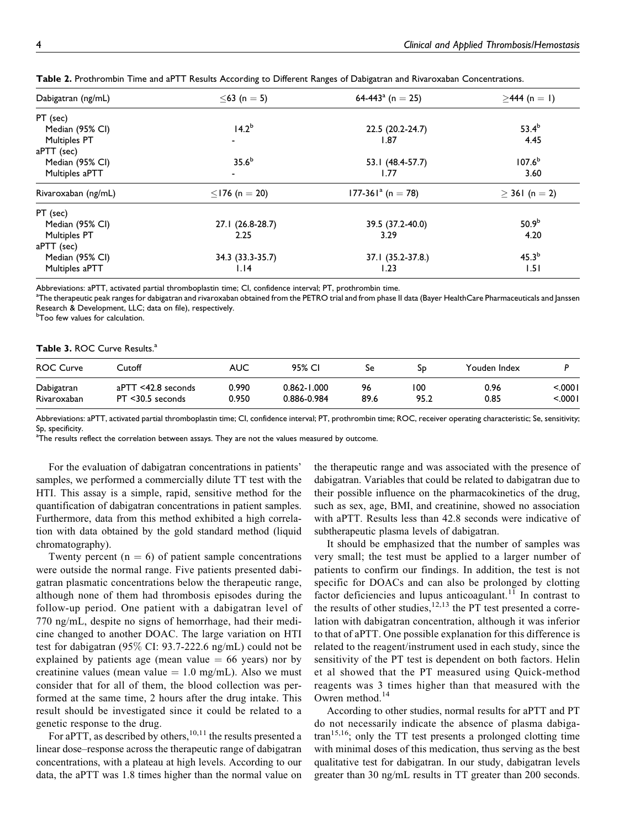| Dabigatran (ng/mL)                   | $≤63$ (n = 5)       | 64-443 <sup>a</sup> (n = 25) | $\geq$ 444 (n = 1) |  |
|--------------------------------------|---------------------|------------------------------|--------------------|--|
| PT (sec)                             |                     |                              |                    |  |
| 14.2 <sup>b</sup><br>Median (95% CI) |                     | 22.5 (20.2-24.7)             | $53.4^{b}$         |  |
| <b>Multiples PT</b>                  |                     | I.87                         | 4.45               |  |
| aPTT (sec)                           |                     |                              |                    |  |
| 35.6 <sup>b</sup><br>Median (95% CI) |                     | 53.1 (48.4-57.7)             | 107.6 <sup>b</sup> |  |
| Multiples aPTT                       |                     | 1.77                         | 3.60               |  |
| Rivaroxaban (ng/mL)                  | $\leq$ 176 (n = 20) | $177-361a$ (n = 78)          | $> 361$ (n = 2)    |  |
| PT (sec)                             |                     |                              |                    |  |
| Median (95% CI)                      | 27.1 (26.8-28.7)    | 39.5 (37.2-40.0)             | 50.9 <sup>b</sup>  |  |
| <b>Multiples PT</b>                  | 2.25                | 3.29                         | 4.20               |  |
| aPTT (sec)                           |                     |                              |                    |  |
| Median (95% CI)                      | 34.3 (33.3-35.7)    | 37.1 (35.2-37.8.)            | 45.3 <sup>b</sup>  |  |
| Multiples aPTT                       | 1.14                | 1.23                         | 1.51               |  |

Table 2. Prothrombin Time and aPTT Results According to Different Ranges of Dabigatran and Rivaroxaban Concentrations.

Abbreviations: aPTT, activated partial thromboplastin time; CI, confidence interval; PT, prothrombin time.

a<br>The therapeutic peak ranges for dabigatran and rivaroxaban obtained from the PETRO trial and from phase II data (Bayer HealthCare Pharmaceuticals and Janssen Research & Development, LLC; data on file), respectively.

*b***Too few values for calculation.** 

#### Table 3. ROC Curve Results.<sup>a</sup>

| <b>ROC Curve</b> | Cutoff              | AUC   | 95% CI          | Se   | 5D.  | Youden Index |        |
|------------------|---------------------|-------|-----------------|------|------|--------------|--------|
| Dabigatran       | aPTT <42.8 seconds  | 0.990 | $0.862 - 1.000$ | 96   | 100  | 0.96         | ا000.> |
| Rivaroxaban      | $PT < 30.5$ seconds | 0.950 | 0.886-0.984     | 89.6 | 95.2 | 0.85         | ا000.> |

Abbreviations: aPTT, activated partial thromboplastin time; CI, confidence interval; PT, prothrombin time; ROC, receiver operating characteristic; Se, sensitivity; Sp, specificity.

 $^{\text{a}}$ The results reflect the correlation between assays. They are not the values measured by outcome.

For the evaluation of dabigatran concentrations in patients' samples, we performed a commercially dilute TT test with the HTI. This assay is a simple, rapid, sensitive method for the quantification of dabigatran concentrations in patient samples. Furthermore, data from this method exhibited a high correlation with data obtained by the gold standard method (liquid chromatography).

Twenty percent  $(n = 6)$  of patient sample concentrations were outside the normal range. Five patients presented dabigatran plasmatic concentrations below the therapeutic range, although none of them had thrombosis episodes during the follow-up period. One patient with a dabigatran level of 770 ng/mL, despite no signs of hemorrhage, had their medicine changed to another DOAC. The large variation on HTI test for dabigatran (95% CI: 93.7-222.6 ng/mL) could not be explained by patients age (mean value  $= 66$  years) nor by creatinine values (mean value  $= 1.0$  mg/mL). Also we must consider that for all of them, the blood collection was performed at the same time, 2 hours after the drug intake. This result should be investigated since it could be related to a genetic response to the drug.

For aPTT, as described by others,<sup>10,11</sup> the results presented a linear dose–response across the therapeutic range of dabigatran concentrations, with a plateau at high levels. According to our data, the aPTT was 1.8 times higher than the normal value on

the therapeutic range and was associated with the presence of dabigatran. Variables that could be related to dabigatran due to their possible influence on the pharmacokinetics of the drug, such as sex, age, BMI, and creatinine, showed no association with aPTT. Results less than 42.8 seconds were indicative of subtherapeutic plasma levels of dabigatran.

It should be emphasized that the number of samples was very small; the test must be applied to a larger number of patients to confirm our findings. In addition, the test is not specific for DOACs and can also be prolonged by clotting factor deficiencies and lupus anticoagulant.<sup>11</sup> In contrast to the results of other studies,<sup>12,13</sup> the PT test presented a correlation with dabigatran concentration, although it was inferior to that of aPTT. One possible explanation for this difference is related to the reagent/instrument used in each study, since the sensitivity of the PT test is dependent on both factors. Helin et al showed that the PT measured using Quick-method reagents was 3 times higher than that measured with the Owren method.<sup>14</sup>

According to other studies, normal results for aPTT and PT do not necessarily indicate the absence of plasma dabigatran15,16; only the TT test presents a prolonged clotting time with minimal doses of this medication, thus serving as the best qualitative test for dabigatran. In our study, dabigatran levels greater than 30 ng/mL results in TT greater than 200 seconds.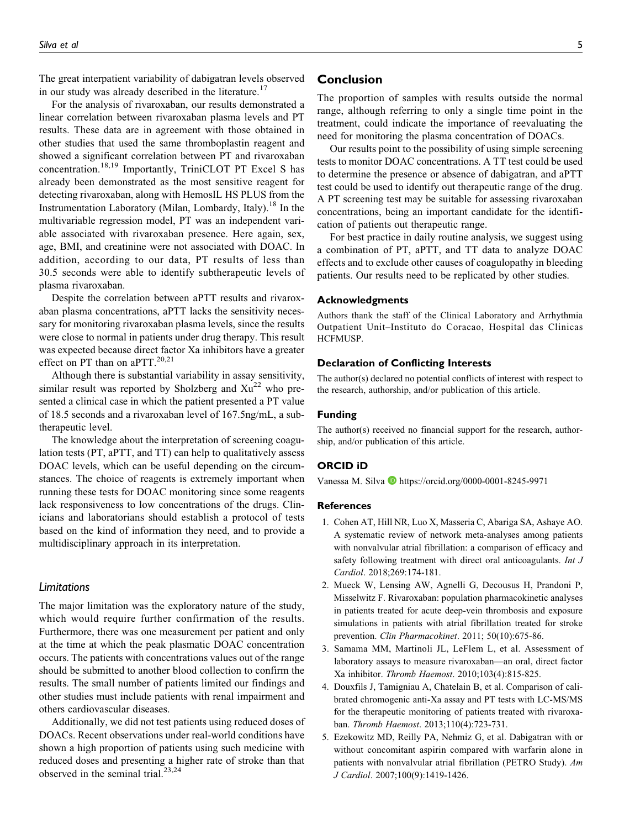The great interpatient variability of dabigatran levels observed in our study was already described in the literature.<sup>17</sup>

For the analysis of rivaroxaban, our results demonstrated a linear correlation between rivaroxaban plasma levels and PT results. These data are in agreement with those obtained in other studies that used the same thromboplastin reagent and showed a significant correlation between PT and rivaroxaban concentration.<sup>18,19</sup> Importantly, TriniCLOT PT Excel S has already been demonstrated as the most sensitive reagent for detecting rivaroxaban, along with HemosIL HS PLUS from the Instrumentation Laboratory (Milan, Lombardy, Italy).<sup>18</sup> In the multivariable regression model, PT was an independent variable associated with rivaroxaban presence. Here again, sex, age, BMI, and creatinine were not associated with DOAC. In addition, according to our data, PT results of less than 30.5 seconds were able to identify subtherapeutic levels of plasma rivaroxaban.

Despite the correlation between aPTT results and rivaroxaban plasma concentrations, aPTT lacks the sensitivity necessary for monitoring rivaroxaban plasma levels, since the results were close to normal in patients under drug therapy. This result was expected because direct factor Xa inhibitors have a greater effect on PT than on aPTT. $20,21$ 

Although there is substantial variability in assay sensitivity, similar result was reported by Sholzberg and  $Xu^{22}$  who presented a clinical case in which the patient presented a PT value of 18.5 seconds and a rivaroxaban level of 167.5ng/mL, a subtherapeutic level.

The knowledge about the interpretation of screening coagulation tests (PT, aPTT, and TT) can help to qualitatively assess DOAC levels, which can be useful depending on the circumstances. The choice of reagents is extremely important when running these tests for DOAC monitoring since some reagents lack responsiveness to low concentrations of the drugs. Clinicians and laboratorians should establish a protocol of tests based on the kind of information they need, and to provide a multidisciplinary approach in its interpretation.

#### Limitations

The major limitation was the exploratory nature of the study, which would require further confirmation of the results. Furthermore, there was one measurement per patient and only at the time at which the peak plasmatic DOAC concentration occurs. The patients with concentrations values out of the range should be submitted to another blood collection to confirm the results. The small number of patients limited our findings and other studies must include patients with renal impairment and others cardiovascular diseases.

Additionally, we did not test patients using reduced doses of DOACs. Recent observations under real-world conditions have shown a high proportion of patients using such medicine with reduced doses and presenting a higher rate of stroke than that observed in the seminal trial. $23,24$ 

## Conclusion

The proportion of samples with results outside the normal range, although referring to only a single time point in the treatment, could indicate the importance of reevaluating the need for monitoring the plasma concentration of DOACs.

Our results point to the possibility of using simple screening tests to monitor DOAC concentrations. A TT test could be used to determine the presence or absence of dabigatran, and aPTT test could be used to identify out therapeutic range of the drug. A PT screening test may be suitable for assessing rivaroxaban concentrations, being an important candidate for the identification of patients out therapeutic range.

For best practice in daily routine analysis, we suggest using a combination of PT, aPTT, and TT data to analyze DOAC effects and to exclude other causes of coagulopathy in bleeding patients. Our results need to be replicated by other studies.

#### Acknowledgments

Authors thank the staff of the Clinical Laboratory and Arrhythmia Outpatient Unit–Instituto do Coracao, Hospital das Clinicas HCFMUSP.

#### Declaration of Conflicting Interests

The author(s) declared no potential conflicts of interest with respect to the research, authorship, and/or publication of this article.

#### Funding

The author(s) received no financial support for the research, authorship, and/or publication of this article.

### ORCID iD

Vanessa M. Silva **b** <https://orcid.org/0000-0001-8245-9971>

#### References

- 1. Cohen AT, Hill NR, Luo X, Masseria C, Abariga SA, Ashaye AO. A systematic review of network meta-analyses among patients with nonvalvular atrial fibrillation: a comparison of efficacy and safety following treatment with direct oral anticoagulants. *Int J* Cardiol. 2018;269:174-181.
- 2. Mueck W, Lensing AW, Agnelli G, Decousus H, Prandoni P, Misselwitz F. Rivaroxaban: population pharmacokinetic analyses in patients treated for acute deep-vein thrombosis and exposure simulations in patients with atrial fibrillation treated for stroke prevention. Clin Pharmacokinet. 2011; 50(10):675-86.
- 3. Samama MM, Martinoli JL, LeFlem L, et al. Assessment of laboratory assays to measure rivaroxaban—an oral, direct factor Xa inhibitor. Thromb Haemost. 2010;103(4):815-825.
- 4. Douxfils J, Tamigniau A, Chatelain B, et al. Comparison of calibrated chromogenic anti-Xa assay and PT tests with LC-MS/MS for the therapeutic monitoring of patients treated with rivaroxaban. Thromb Haemost. 2013;110(4):723-731.
- 5. Ezekowitz MD, Reilly PA, Nehmiz G, et al. Dabigatran with or without concomitant aspirin compared with warfarin alone in patients with nonvalvular atrial fibrillation (PETRO Study). Am J Cardiol. 2007;100(9):1419-1426.